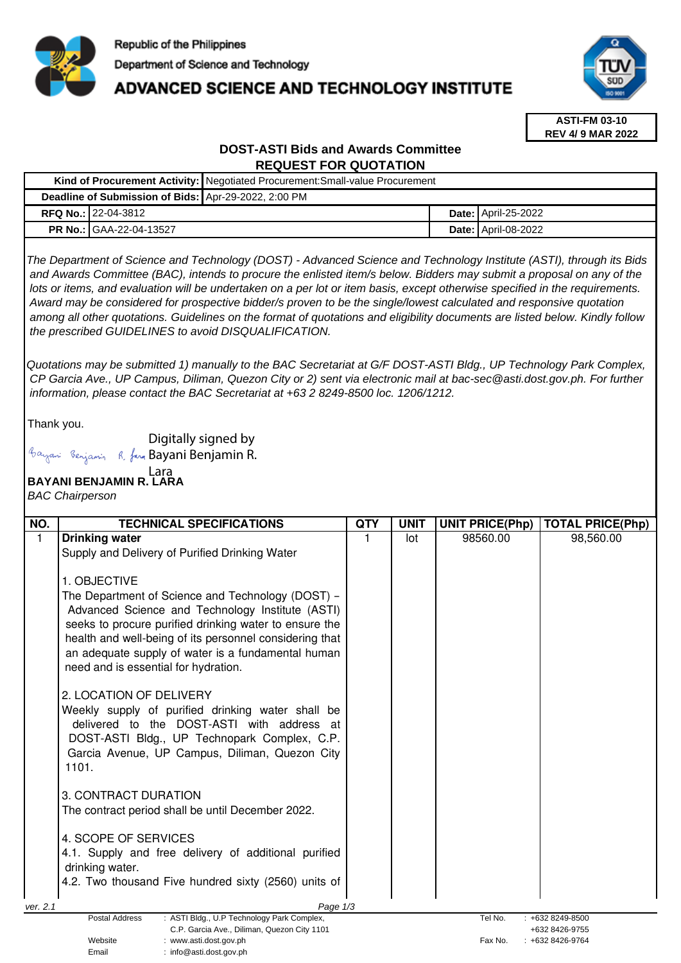

## **ADVANCED SCIENCE AND TECHNOLOGY INSTITUTE**



**ASTI-FM 03-10 REV 4/ 9 MAR 2022**

### **DOST-ASTI Bids and Awards Committee REQUEST FOR QUOTATION**

|                                                      |                                | Kind of Procurement Activity: Negotiated Procurement: Small-value Procurement |  |                            |  |  |
|------------------------------------------------------|--------------------------------|-------------------------------------------------------------------------------|--|----------------------------|--|--|
| Deadline of Submission of Bids: Apr-29-2022, 2:00 PM |                                |                                                                               |  |                            |  |  |
|                                                      | <b>RFQ No.: 22-04-3812</b>     |                                                                               |  | <b>Date: April-25-2022</b> |  |  |
|                                                      | <b>PR No.: GAA-22-04-13527</b> |                                                                               |  | <b>Date: April-08-2022</b> |  |  |

The Department of Science and Technology (DOST) - Advanced Science and Technology Institute (ASTI), through its Bids and Awards Committee (BAC), intends to procure the enlisted item/s below. Bidders may submit a proposal on any of the lots or items, and evaluation will be undertaken on a per lot or item basis, except otherwise specified in the requirements. Award may be considered for prospective bidder/s proven to be the single/lowest calculated and responsive quotation among all other quotations. Guidelines on the format of quotations and eligibility documents are listed below. Kindly follow the prescribed GUIDELINES to avoid DISQUALIFICATION.

Quotations may be submitted 1) manually to the BAC Secretariat at G/F DOST-ASTI Bldg., UP Technology Park Complex, CP Garcia Ave., UP Campus, Diliman, Quezon City or 2) sent via electronic mail at bac-sec@asti.dost.gov.ph. For further information, please contact the BAC Secretariat at +63 2 8249-8500 loc. 1206/1212.

Thank you.

Digitally signed by

Bayani Benjamin R. fan Bayani Benjamin R.

# **BAYANI BENJAMIN R. LARA**  Lara

BAC Chairperson

| <b>TECHNICAL SPECIFICATIONS</b>                                     | <b>QTY</b>                                                                                                                                                                                                                                                                                                                                                                                                                                                                                                                                          | <b>UNIT</b> | <b>UNIT PRICE(Php)</b> | <b>TOTAL PRICE(Php)</b>          |
|---------------------------------------------------------------------|-----------------------------------------------------------------------------------------------------------------------------------------------------------------------------------------------------------------------------------------------------------------------------------------------------------------------------------------------------------------------------------------------------------------------------------------------------------------------------------------------------------------------------------------------------|-------------|------------------------|----------------------------------|
| <b>Drinking water</b>                                               |                                                                                                                                                                                                                                                                                                                                                                                                                                                                                                                                                     | lot         | 98560.00               | 98,560.00                        |
| Supply and Delivery of Purified Drinking Water                      |                                                                                                                                                                                                                                                                                                                                                                                                                                                                                                                                                     |             |                        |                                  |
|                                                                     |                                                                                                                                                                                                                                                                                                                                                                                                                                                                                                                                                     |             |                        |                                  |
|                                                                     |                                                                                                                                                                                                                                                                                                                                                                                                                                                                                                                                                     |             |                        |                                  |
|                                                                     |                                                                                                                                                                                                                                                                                                                                                                                                                                                                                                                                                     |             |                        |                                  |
|                                                                     |                                                                                                                                                                                                                                                                                                                                                                                                                                                                                                                                                     |             |                        |                                  |
|                                                                     |                                                                                                                                                                                                                                                                                                                                                                                                                                                                                                                                                     |             |                        |                                  |
|                                                                     |                                                                                                                                                                                                                                                                                                                                                                                                                                                                                                                                                     |             |                        |                                  |
|                                                                     |                                                                                                                                                                                                                                                                                                                                                                                                                                                                                                                                                     |             |                        |                                  |
|                                                                     |                                                                                                                                                                                                                                                                                                                                                                                                                                                                                                                                                     |             |                        |                                  |
| 2. LOCATION OF DELIVERY                                             |                                                                                                                                                                                                                                                                                                                                                                                                                                                                                                                                                     |             |                        |                                  |
| Weekly supply of purified drinking water shall be                   |                                                                                                                                                                                                                                                                                                                                                                                                                                                                                                                                                     |             |                        |                                  |
| delivered to the DOST-ASTI with address at                          |                                                                                                                                                                                                                                                                                                                                                                                                                                                                                                                                                     |             |                        |                                  |
| DOST-ASTI Bldg., UP Technopark Complex, C.P.                        |                                                                                                                                                                                                                                                                                                                                                                                                                                                                                                                                                     |             |                        |                                  |
|                                                                     |                                                                                                                                                                                                                                                                                                                                                                                                                                                                                                                                                     |             |                        |                                  |
|                                                                     |                                                                                                                                                                                                                                                                                                                                                                                                                                                                                                                                                     |             |                        |                                  |
|                                                                     |                                                                                                                                                                                                                                                                                                                                                                                                                                                                                                                                                     |             |                        |                                  |
|                                                                     |                                                                                                                                                                                                                                                                                                                                                                                                                                                                                                                                                     |             |                        |                                  |
|                                                                     |                                                                                                                                                                                                                                                                                                                                                                                                                                                                                                                                                     |             |                        |                                  |
| 4. SCOPE OF SERVICES                                                |                                                                                                                                                                                                                                                                                                                                                                                                                                                                                                                                                     |             |                        |                                  |
| 4.1. Supply and free delivery of additional purified                |                                                                                                                                                                                                                                                                                                                                                                                                                                                                                                                                                     |             |                        |                                  |
| drinking water.                                                     |                                                                                                                                                                                                                                                                                                                                                                                                                                                                                                                                                     |             |                        |                                  |
|                                                                     |                                                                                                                                                                                                                                                                                                                                                                                                                                                                                                                                                     |             |                        |                                  |
|                                                                     |                                                                                                                                                                                                                                                                                                                                                                                                                                                                                                                                                     |             |                        |                                  |
| <b>Postal Address</b><br>: ASTI Bldg., U.P Technology Park Complex, |                                                                                                                                                                                                                                                                                                                                                                                                                                                                                                                                                     | Tel No.     | +632 8249-8500         |                                  |
| C.P. Garcia Ave., Diliman, Quezon City 1101                         |                                                                                                                                                                                                                                                                                                                                                                                                                                                                                                                                                     |             |                        | +632 8426-9755<br>+632 8426-9764 |
|                                                                     | 1. OBJECTIVE<br>The Department of Science and Technology (DOST) -<br>Advanced Science and Technology Institute (ASTI)<br>seeks to procure purified drinking water to ensure the<br>health and well-being of its personnel considering that<br>an adequate supply of water is a fundamental human<br>need and is essential for hydration.<br>Garcia Avenue, UP Campus, Diliman, Quezon City<br>1101.<br>3. CONTRACT DURATION<br>The contract period shall be until December 2022.<br>4.2. Two thousand Five hundred sixty (2560) units of<br>Website | Page 1/3    | : www.asti.dost.gov.ph | Fax No.                          |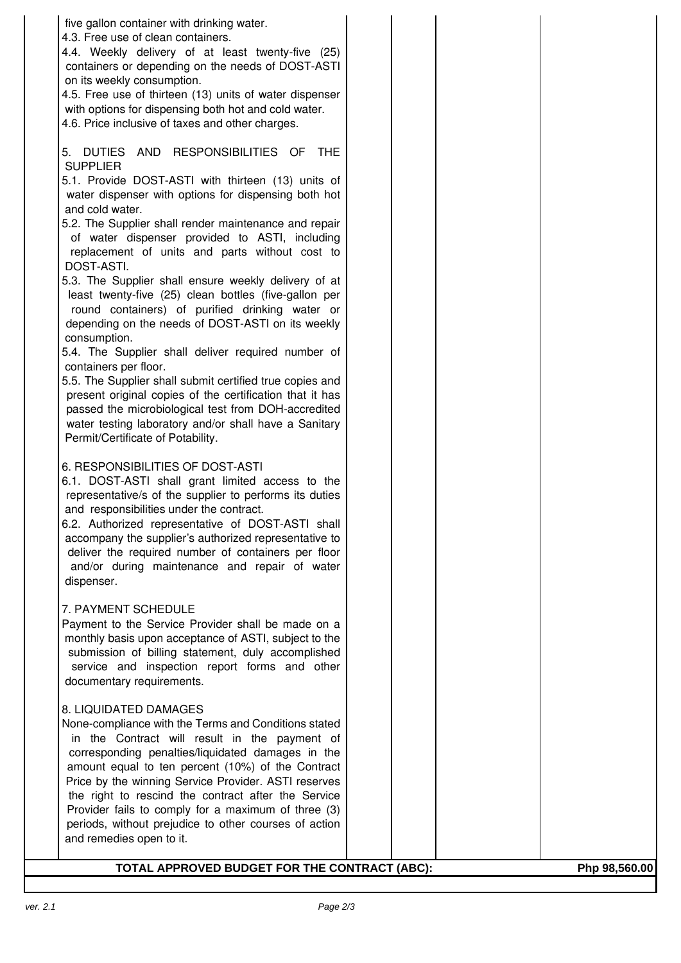| five gallon container with drinking water.                                                                           |  |               |
|----------------------------------------------------------------------------------------------------------------------|--|---------------|
| 4.3. Free use of clean containers.<br>4.4. Weekly delivery of at least twenty-five (25)                              |  |               |
| containers or depending on the needs of DOST-ASTI                                                                    |  |               |
| on its weekly consumption.                                                                                           |  |               |
| 4.5. Free use of thirteen (13) units of water dispenser                                                              |  |               |
| with options for dispensing both hot and cold water.                                                                 |  |               |
| 4.6. Price inclusive of taxes and other charges.                                                                     |  |               |
| 5. DUTIES AND RESPONSIBILITIES OF<br><b>THE</b>                                                                      |  |               |
| <b>SUPPLIER</b>                                                                                                      |  |               |
| 5.1. Provide DOST-ASTI with thirteen (13) units of                                                                   |  |               |
| water dispenser with options for dispensing both hot                                                                 |  |               |
| and cold water.                                                                                                      |  |               |
| 5.2. The Supplier shall render maintenance and repair<br>of water dispenser provided to ASTI, including              |  |               |
| replacement of units and parts without cost to                                                                       |  |               |
| DOST-ASTI.                                                                                                           |  |               |
| 5.3. The Supplier shall ensure weekly delivery of at                                                                 |  |               |
| least twenty-five (25) clean bottles (five-gallon per<br>round containers) of purified drinking water or             |  |               |
| depending on the needs of DOST-ASTI on its weekly                                                                    |  |               |
| consumption.                                                                                                         |  |               |
| 5.4. The Supplier shall deliver required number of                                                                   |  |               |
| containers per floor.                                                                                                |  |               |
| 5.5. The Supplier shall submit certified true copies and<br>present original copies of the certification that it has |  |               |
| passed the microbiological test from DOH-accredited                                                                  |  |               |
| water testing laboratory and/or shall have a Sanitary                                                                |  |               |
| Permit/Certificate of Potability.                                                                                    |  |               |
| 6. RESPONSIBILITIES OF DOST-ASTI                                                                                     |  |               |
| 6.1. DOST-ASTI shall grant limited access to the                                                                     |  |               |
| representative/s of the supplier to performs its duties                                                              |  |               |
| and responsibilities under the contract.                                                                             |  |               |
| 6.2. Authorized representative of DOST-ASTI shall<br>accompany the supplier's authorized representative to           |  |               |
| deliver the required number of containers per floor                                                                  |  |               |
| and/or during maintenance and repair of water                                                                        |  |               |
| dispenser.                                                                                                           |  |               |
| 7. PAYMENT SCHEDULE                                                                                                  |  |               |
| Payment to the Service Provider shall be made on a                                                                   |  |               |
| monthly basis upon acceptance of ASTI, subject to the                                                                |  |               |
| submission of billing statement, duly accomplished                                                                   |  |               |
| service and inspection report forms and other<br>documentary requirements.                                           |  |               |
|                                                                                                                      |  |               |
| 8. LIQUIDATED DAMAGES                                                                                                |  |               |
| None-compliance with the Terms and Conditions stated                                                                 |  |               |
| in the Contract will result in the payment of<br>corresponding penalties/liquidated damages in the                   |  |               |
| amount equal to ten percent (10%) of the Contract                                                                    |  |               |
| Price by the winning Service Provider. ASTI reserves                                                                 |  |               |
| the right to rescind the contract after the Service                                                                  |  |               |
| Provider fails to comply for a maximum of three (3)<br>periods, without prejudice to other courses of action         |  |               |
| and remedies open to it.                                                                                             |  |               |
|                                                                                                                      |  |               |
| TOTAL APPROVED BUDGET FOR THE CONTRACT (ABC):                                                                        |  | Php 98,560.00 |